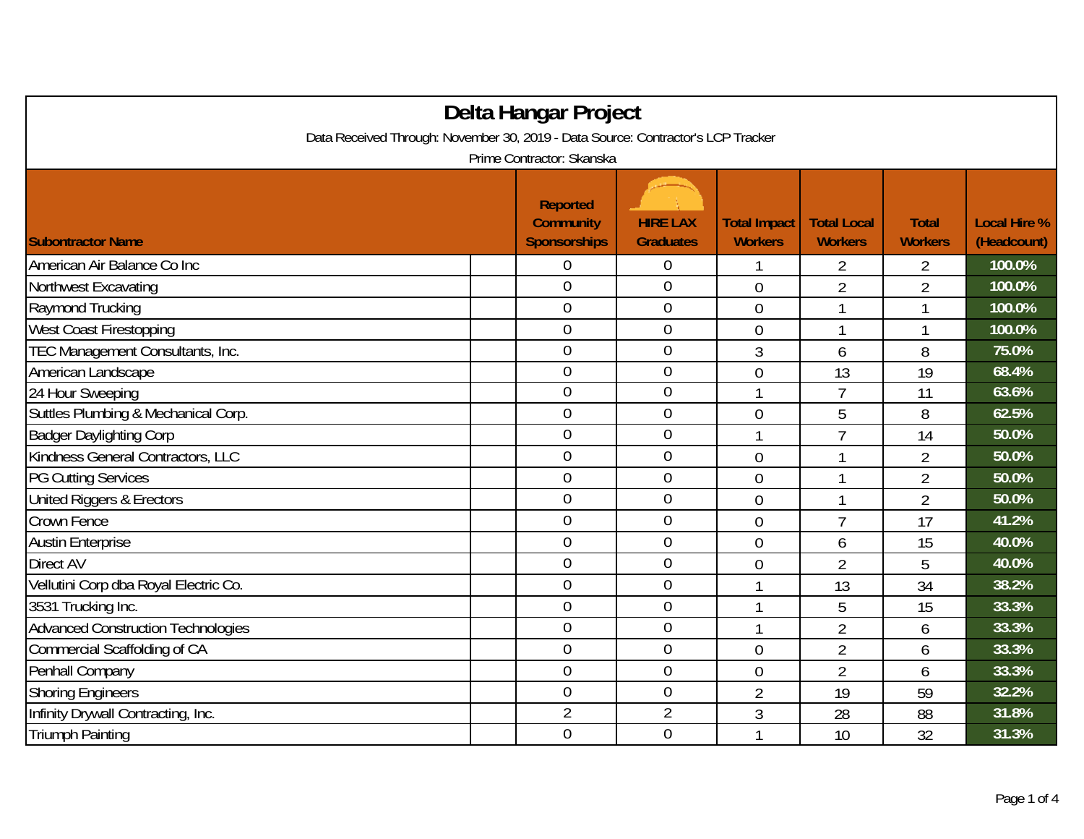| Delta Hangar Project                                                             |                                                            |                                     |                                       |                                      |                                |                                    |  |  |  |
|----------------------------------------------------------------------------------|------------------------------------------------------------|-------------------------------------|---------------------------------------|--------------------------------------|--------------------------------|------------------------------------|--|--|--|
| Data Received Through: November 30, 2019 - Data Source: Contractor's LCP Tracker |                                                            |                                     |                                       |                                      |                                |                                    |  |  |  |
| Prime Contractor: Skanska                                                        |                                                            |                                     |                                       |                                      |                                |                                    |  |  |  |
| <b>Subontractor Name</b>                                                         | <b>Reported</b><br><b>Community</b><br><b>Sponsorships</b> | <b>HIRE LAX</b><br><b>Graduates</b> | <b>Total Impact</b><br><b>Workers</b> | <b>Total Local</b><br><b>Workers</b> | <b>Total</b><br><b>Workers</b> | <b>Local Hire %</b><br>(Headcount) |  |  |  |
| American Air Balance Co Inc                                                      | 0                                                          | $\boldsymbol{0}$                    |                                       | 2                                    | $\overline{2}$                 | 100.0%                             |  |  |  |
| Northwest Excavating                                                             | $\boldsymbol{0}$                                           | $\boldsymbol{0}$                    | $\boldsymbol{0}$                      | $\overline{2}$                       | $\overline{2}$                 | 100.0%                             |  |  |  |
| Raymond Trucking                                                                 | $\theta$                                                   | $\mathbf 0$                         | $\overline{0}$                        | 1                                    |                                | 100.0%                             |  |  |  |
| West Coast Firestopping                                                          | $\overline{0}$                                             | $\overline{0}$                      | $\overline{0}$                        | 1                                    |                                | 100.0%                             |  |  |  |
| TEC Management Consultants, Inc.                                                 | 0                                                          | $\boldsymbol{0}$                    | 3                                     | 6                                    | 8                              | 75.0%                              |  |  |  |
| American Landscape                                                               | $\overline{0}$                                             | $\overline{0}$                      | 0                                     | 13                                   | 19                             | 68.4%                              |  |  |  |
| 24 Hour Sweeping                                                                 | $\overline{0}$                                             | $\boldsymbol{0}$                    | 1                                     | $\overline{7}$                       | 11                             | 63.6%                              |  |  |  |
| Suttles Plumbing & Mechanical Corp.                                              | $\mathbf 0$                                                | $\mathbf 0$                         | $\overline{0}$                        | 5                                    | 8                              | 62.5%                              |  |  |  |
| <b>Badger Daylighting Corp</b>                                                   | $\overline{0}$                                             | $\overline{0}$                      | 1                                     | $\overline{7}$                       | 14                             | 50.0%                              |  |  |  |
| Kindness General Contractors, LLC                                                | $\overline{0}$                                             | $\mathbf 0$                         | $\overline{0}$                        | 1                                    | $\overline{2}$                 | 50.0%                              |  |  |  |
| <b>PG Cutting Services</b>                                                       | $\overline{0}$                                             | $\boldsymbol{0}$                    | $\overline{0}$                        | 1                                    | $\overline{2}$                 | 50.0%                              |  |  |  |
| United Riggers & Erectors                                                        | 0                                                          | $\boldsymbol{0}$                    | $\overline{0}$                        | 1                                    | $\overline{2}$                 | 50.0%                              |  |  |  |
| Crown Fence                                                                      | $\overline{0}$                                             | $\mathbf 0$                         | $\overline{0}$                        | $\overline{7}$                       | 17                             | 41.2%                              |  |  |  |
| <b>Austin Enterprise</b>                                                         | $\overline{0}$                                             | $\boldsymbol{0}$                    | $\overline{0}$                        | 6                                    | 15                             | 40.0%                              |  |  |  |
| Direct AV                                                                        | $\overline{0}$                                             | $\mathbf 0$                         | $\overline{0}$                        | $\overline{2}$                       | 5                              | 40.0%                              |  |  |  |
| Vellutini Corp dba Royal Electric Co.                                            | $\overline{0}$                                             | $\boldsymbol{0}$                    | 1                                     | 13                                   | 34                             | 38.2%                              |  |  |  |
| 3531 Trucking Inc.                                                               | $\overline{0}$                                             | $\boldsymbol{0}$                    | 1                                     | 5                                    | 15                             | 33.3%                              |  |  |  |
| <b>Advanced Construction Technologies</b>                                        | $\mathbf 0$                                                | $\mathbf 0$                         |                                       | $\overline{2}$                       | 6                              | 33.3%                              |  |  |  |
| Commercial Scaffolding of CA                                                     | $\mathbf 0$                                                | $\boldsymbol{0}$                    | $\overline{0}$                        | $\overline{2}$                       | 6                              | 33.3%                              |  |  |  |
| Penhall Company                                                                  | $\mathbf 0$                                                | $\boldsymbol{0}$                    | $\overline{0}$                        | $\overline{2}$                       | 6                              | 33.3%                              |  |  |  |
| <b>Shoring Engineers</b>                                                         | $\boldsymbol{0}$                                           | $\boldsymbol{0}$                    | $\overline{2}$                        | 19                                   | 59                             | 32.2%                              |  |  |  |
| Infinity Drywall Contracting, Inc.                                               | $\overline{2}$                                             | $\overline{2}$                      | 3                                     | 28                                   | 88                             | 31.8%                              |  |  |  |
| <b>Triumph Painting</b>                                                          | $\overline{0}$                                             | $\overline{0}$                      |                                       | 10                                   | 32                             | 31.3%                              |  |  |  |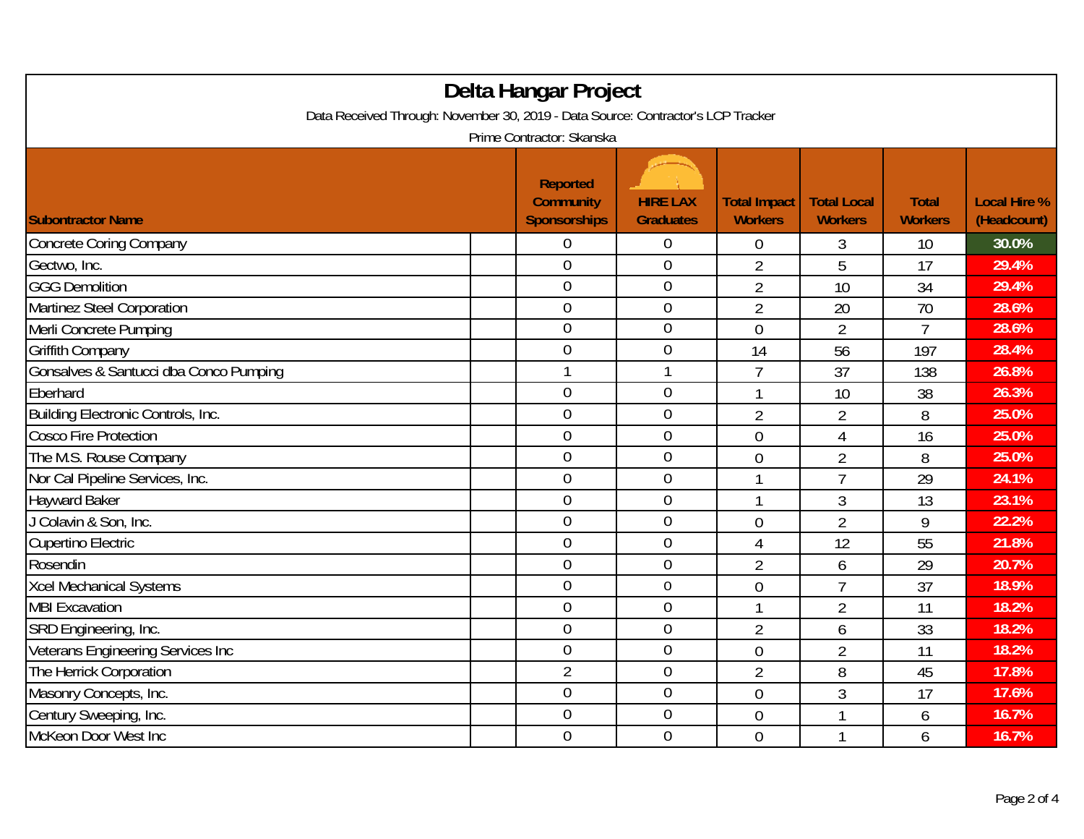| Delta Hangar Project<br>Data Received Through: November 30, 2019 - Data Source: Contractor's LCP Tracker<br>Prime Contractor: Skanska |  |                                                     |                                     |                                       |                                      |                                |                                    |  |
|---------------------------------------------------------------------------------------------------------------------------------------|--|-----------------------------------------------------|-------------------------------------|---------------------------------------|--------------------------------------|--------------------------------|------------------------------------|--|
| <b>Subontractor Name</b>                                                                                                              |  | <b>Reported</b><br><b>Community</b><br>Sponsorships | <b>HIRE LAX</b><br><b>Graduates</b> | <b>Total Impact</b><br><b>Workers</b> | <b>Total Local</b><br><b>Workers</b> | <b>Total</b><br><b>Workers</b> | <b>Local Hire %</b><br>(Headcount) |  |
| <b>Concrete Coring Company</b>                                                                                                        |  | $\overline{0}$                                      | $\boldsymbol{0}$                    | $\overline{0}$                        | 3                                    | 10                             | 30.0%                              |  |
| Gectwo, Inc.                                                                                                                          |  | $\mathbf 0$                                         | $\mathbf 0$                         | $\overline{2}$                        | 5                                    | 17                             | 29.4%                              |  |
| <b>GGG Demolition</b>                                                                                                                 |  | $\overline{0}$                                      | $\mathbf 0$                         | $\overline{2}$                        | 10                                   | 34                             | 29.4%                              |  |
| Martinez Steel Corporation                                                                                                            |  | $\overline{0}$                                      | $\mathbf 0$                         | $\overline{2}$                        | 20                                   | 70                             | 28.6%                              |  |
| Merli Concrete Pumping                                                                                                                |  | $\overline{0}$                                      | $\mathbf 0$                         | $\overline{0}$                        | $\overline{2}$                       | $\overline{7}$                 | 28.6%                              |  |
| <b>Griffith Company</b>                                                                                                               |  | $\overline{0}$                                      | $\mathbf 0$                         | 14                                    | 56                                   | 197                            | 28.4%                              |  |
| Gonsalves & Santucci dba Conco Pumping                                                                                                |  | 1                                                   | 1                                   | 7                                     | 37                                   | 138                            | 26.8%                              |  |
| Eberhard                                                                                                                              |  | $\overline{0}$                                      | $\overline{0}$                      | 1                                     | 10                                   | 38                             | 26.3%                              |  |
| Building Electronic Controls, Inc.                                                                                                    |  | $\mathbf 0$                                         | $\boldsymbol{0}$                    | $\overline{2}$                        | $\overline{2}$                       | 8                              | 25.0%                              |  |
| <b>Cosco Fire Protection</b>                                                                                                          |  | $\overline{0}$                                      | $\boldsymbol{0}$                    | $\overline{0}$                        | $\overline{4}$                       | 16                             | 25.0%                              |  |
| The M.S. Rouse Company                                                                                                                |  | $\overline{0}$                                      | $\overline{0}$                      | $\mathbf 0$                           | $\overline{2}$                       | 8                              | 25.0%                              |  |
| Nor Cal Pipeline Services, Inc.                                                                                                       |  | $\overline{0}$                                      | $\boldsymbol{0}$                    | 1                                     | $\overline{7}$                       | 29                             | 24.1%                              |  |
| <b>Hayward Baker</b>                                                                                                                  |  | $\mathbf 0$                                         | $\boldsymbol{0}$                    | 1                                     | 3                                    | 13                             | 23.1%                              |  |
| J Colavin & Son, Inc.                                                                                                                 |  | $\overline{0}$                                      | $\boldsymbol{0}$                    | $\overline{0}$                        | $\overline{2}$                       | 9                              | 22.2%                              |  |
| Cupertino Electric                                                                                                                    |  | $\overline{0}$                                      | $\boldsymbol{0}$                    | 4                                     | 12                                   | 55                             | 21.8%                              |  |
| Rosendin                                                                                                                              |  | $\overline{0}$                                      | $\mathbf 0$                         | $\overline{2}$                        | 6                                    | 29                             | 20.7%                              |  |
| <b>Xcel Mechanical Systems</b>                                                                                                        |  | $\overline{0}$                                      | $\mathbf 0$                         | $\overline{0}$                        | $\overline{7}$                       | 37                             | 18.9%                              |  |
| <b>MBI Excavation</b>                                                                                                                 |  | $\overline{0}$                                      | $\mathbf 0$                         | 1                                     | $\overline{2}$                       | 11                             | 18.2%                              |  |
| SRD Engineering, Inc.                                                                                                                 |  | $\overline{0}$                                      | $\overline{0}$                      | $\overline{2}$                        | 6                                    | 33                             | 18.2%                              |  |
| Veterans Engineering Services Inc                                                                                                     |  | $\overline{0}$                                      | $\boldsymbol{0}$                    | $\overline{0}$                        | $\overline{2}$                       | 11                             | 18.2%                              |  |
| The Herrick Corporation                                                                                                               |  | $\overline{2}$                                      | $\boldsymbol{0}$                    | $\overline{2}$                        | 8                                    | 45                             | 17.8%                              |  |
| Masonry Concepts, Inc.                                                                                                                |  | $\overline{0}$                                      | $\overline{0}$                      | $\overline{0}$                        | 3                                    | 17                             | 17.6%                              |  |
| Century Sweeping, Inc.                                                                                                                |  | $\overline{0}$                                      | $\boldsymbol{0}$                    | $\mathbf 0$                           |                                      | 6                              | 16.7%                              |  |
| McKeon Door West Inc                                                                                                                  |  | $\mathbf 0$                                         | $\overline{0}$                      | $\overline{0}$                        |                                      | 6                              | 16.7%                              |  |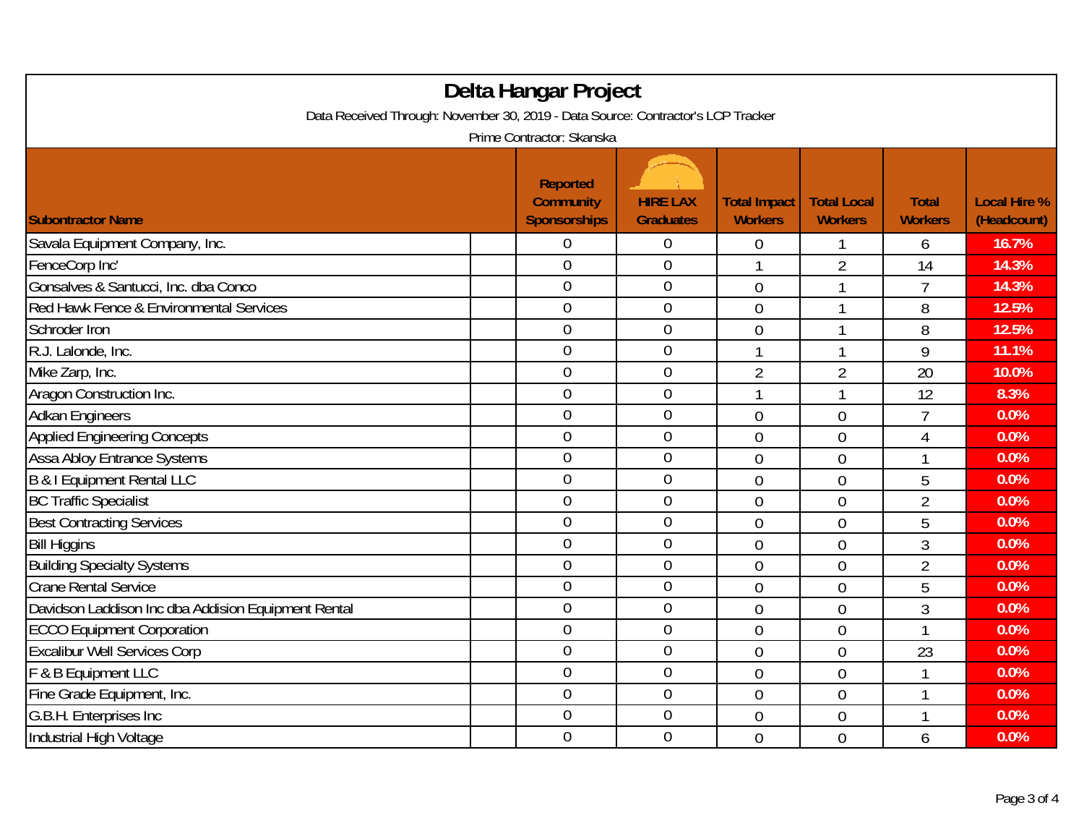| Delta Hangar Project<br>Data Received Through: November 30, 2019 - Data Source: Contractor's LCP Tracker |  |                                                            |                                     |                                       |                                      |                                |                                    |  |
|----------------------------------------------------------------------------------------------------------|--|------------------------------------------------------------|-------------------------------------|---------------------------------------|--------------------------------------|--------------------------------|------------------------------------|--|
| Prime Contractor: Skanska                                                                                |  |                                                            |                                     |                                       |                                      |                                |                                    |  |
| <b>Subontractor Name</b>                                                                                 |  | <b>Reported</b><br><b>Community</b><br><b>Sponsorships</b> | <b>HIRE LAX</b><br><b>Graduates</b> | <b>Total Impact</b><br><b>Workers</b> | <b>Total Local</b><br><b>Workers</b> | <b>Total</b><br><b>Workers</b> | <b>Local Hire %</b><br>(Headcount) |  |
| Savala Equipment Company, Inc.                                                                           |  | 0                                                          | $\overline{0}$                      | 0                                     |                                      | 6                              | 16.7%                              |  |
| FenceCorp Inc'                                                                                           |  | $\overline{0}$                                             | $\overline{0}$                      | $\mathbf{1}$                          | $\overline{2}$                       | 14                             | 14.3%                              |  |
| Gonsalves & Santucci, Inc. dba Conco                                                                     |  | $\overline{0}$                                             | $\boldsymbol{0}$                    | $\overline{0}$                        | 1                                    | $\overline{7}$                 | 14.3%                              |  |
| Red Hawk Fence & Environmental Services                                                                  |  | $\mathbf 0$                                                | $\boldsymbol{0}$                    | $\overline{0}$                        | 1                                    | 8                              | 12.5%                              |  |
| Schroder Iron                                                                                            |  | $\overline{0}$                                             | $\mathbf 0$                         | 0                                     | 1                                    | 8                              | 12.5%                              |  |
| R.J. Lalonde, Inc.                                                                                       |  | $\overline{0}$                                             | $\boldsymbol{0}$                    | 1                                     | 1                                    | 9                              | 11.1%                              |  |
| Mike Zarp, Inc.                                                                                          |  | $\overline{0}$                                             | $\mathbf{0}$                        | $\overline{2}$                        | $\overline{2}$                       | 20                             | 10.0%                              |  |
| Aragon Construction Inc.                                                                                 |  | $\overline{0}$                                             | $\mathbf 0$                         | 1                                     | 1                                    | 12                             | 8.3%                               |  |
| <b>Adkan Engineers</b>                                                                                   |  | $\overline{0}$                                             | $\boldsymbol{0}$                    | $\overline{0}$                        | $\overline{0}$                       | $\overline{7}$                 | 0.0%                               |  |
| <b>Applied Engineering Concepts</b>                                                                      |  | $\overline{0}$                                             | $\mathbf 0$                         | $\overline{0}$                        | 0                                    | $\overline{4}$                 | 0.0%                               |  |
| <b>Assa Abloy Entrance Systems</b>                                                                       |  | $\overline{0}$                                             | $\overline{0}$                      | 0                                     | 0                                    | 1                              | 0.0%                               |  |
| <b>B &amp; I Equipment Rental LLC</b>                                                                    |  | $\overline{0}$                                             | $\boldsymbol{0}$                    | $\overline{0}$                        | $\overline{0}$                       | 5                              | 0.0%                               |  |
| <b>BC Traffic Specialist</b>                                                                             |  | $\overline{0}$                                             | $\mathbf{0}$                        | $\overline{0}$                        | $\overline{0}$                       | $\overline{2}$                 | 0.0%                               |  |
| <b>Best Contracting Services</b>                                                                         |  | $\overline{0}$                                             | $\mathbf 0$                         | $\overline{0}$                        | $\overline{0}$                       | 5                              | 0.0%                               |  |
| <b>Bill Higgins</b>                                                                                      |  | $\overline{0}$                                             | $\boldsymbol{0}$                    | $\mathbf 0$                           | 0                                    | 3                              | 0.0%                               |  |
| <b>Building Specialty Systems</b>                                                                        |  | $\mathbf 0$                                                | $\boldsymbol{0}$                    | $\overline{0}$                        | $\overline{0}$                       | $\overline{2}$                 | 0.0%                               |  |
| <b>Crane Rental Service</b>                                                                              |  | $\overline{0}$                                             | $\mathbf 0$                         | $\overline{0}$                        | $\overline{0}$                       | 5                              | 0.0%                               |  |
| Davidson Laddison Inc dba Addision Equipment Rental                                                      |  | $\overline{0}$                                             | $\mathbf{0}$                        | $\overline{0}$                        | 0                                    | $\mathfrak{Z}$                 | 0.0%                               |  |
| <b>ECCO Equipment Corporation</b>                                                                        |  | $\overline{0}$                                             | $\mathbf 0$                         | $\overline{0}$                        | $\overline{0}$                       | $\mathbf{1}$                   | 0.0%                               |  |
| <b>Excalibur Well Services Corp</b>                                                                      |  | $\overline{0}$                                             | $\mathbf 0$                         | $\overline{0}$                        | $\overline{0}$                       | 23                             | 0.0%                               |  |
| F & B Equipment LLC                                                                                      |  | $\boldsymbol{0}$                                           | $\mathbf 0$                         | $\overline{0}$                        | $\overline{0}$                       | 1                              | 0.0%                               |  |
| Fine Grade Equipment, Inc.                                                                               |  | $\overline{0}$                                             | $\mathbf 0$                         | $\overline{0}$                        | $\overline{0}$                       | 1                              | 0.0%                               |  |
| G.B.H. Enterprises Inc                                                                                   |  | $\boldsymbol{0}$                                           | $\boldsymbol{0}$                    | $\boldsymbol{0}$                      | 0                                    | 1                              | 0.0%                               |  |
| Industrial High Voltage                                                                                  |  | $\overline{0}$                                             | $\mathbf 0$                         | $\overline{0}$                        | $\overline{0}$                       | 6                              | 0.0%                               |  |